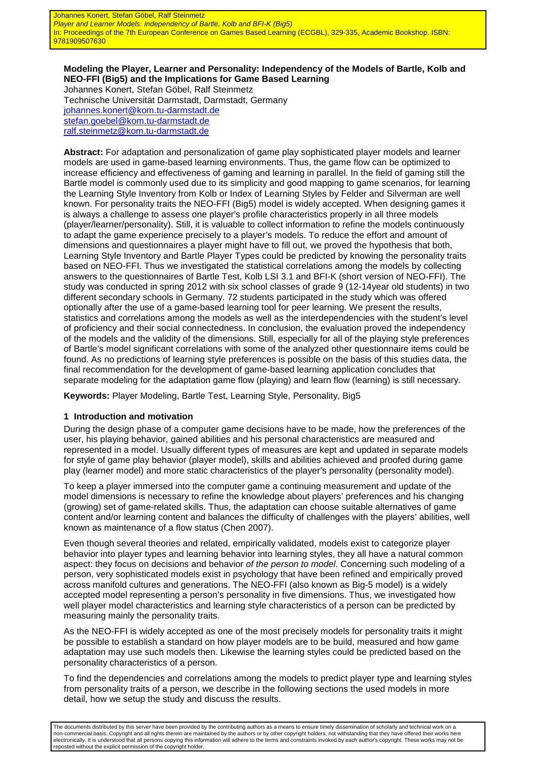Johannes Konert, Stefan Göbel, Ralf Steinmetz Player and Learner Models: Independency of Bartle, Kolb and BFI-K (Big5) In: Proceedings of the 7th European Conference on Games Based Learning (ECGBL), 329-335, Academic Bookshop. ISBN: 9781909507630

# **Modeling the Player, Learner and Personality: Independency of the Models of Bartle, Kolb and NEO-FFI (Big5) and the Implications for Game Based Learning**

Johannes Konert, Stefan Göbel, Ralf Steinmetz Technische Universität Darmstadt, Darmstadt, Germany johannes.konert@kom.tu-darmstadt.de stefan.goebel@kom.tu-darmstadt.de ralf.steinmetz@kom.tu-darmstadt.de

**Abstract:** For adaptation and personalization of game play sophisticated player models and learner models are used in game-based learning environments. Thus, the game flow can be optimized to increase efficiency and effectiveness of gaming and learning in parallel. In the field of gaming still the Bartle model is commonly used due to its simplicity and good mapping to game scenarios, for learning the Learning Style Inventory from Kolb or Index of Learning Styles by Felder and Silverman are well known. For personality traits the NEO-FFI (Big5) model is widely accepted. When designing games it is always a challenge to assess one player's profile characteristics properly in all three models (player/learner/personality). Still, it is valuable to collect information to refine the models continuously to adapt the game experience precisely to a player's models. To reduce the effort and amount of dimensions and questionnaires a player might have to fill out, we proved the hypothesis that both, Learning Style Inventory and Bartle Player Types could be predicted by knowing the personality traits based on NEO-FFI. Thus we investigated the statistical correlations among the models by collecting answers to the questionnaires of Bartle Test, Kolb LSI 3.1 and BFI-K (short version of NEO-FFI). The study was conducted in spring 2012 with six school classes of grade 9 (12-14year old students) in two different secondary schools in Germany. 72 students participated in the study which was offered optionally after the use of a game-based learning tool for peer learning. We present the results, statistics and correlations among the models as well as the interdependencies with the student's level of proficiency and their social connectedness. In conclusion, the evaluation proved the independency of the models and the validity of the dimensions. Still, especially for all of the playing style preferences of Bartle's model significant correlations with some of the analyzed other questionnaire items could be found. As no predictions of learning style preferences is possible on the basis of this studies data, the final recommendation for the development of game-based learning application concludes that separate modeling for the adaptation game flow (playing) and learn flow (learning) is still necessary.

**Keywords:** Player Modeling, Bartle Test, Learning Style, Personality, Big5

## **1 Introduction and motivation**

During the design phase of a computer game decisions have to be made, how the preferences of the user, his playing behavior, gained abilities and his personal characteristics are measured and represented in a model. Usually different types of measures are kept and updated in separate models for style of game play behavior (player model), skills and abilities achieved and proofed during game play (learner model) and more static characteristics of the player's personality (personality model).

To keep a player immersed into the computer game a continuing measurement and update of the model dimensions is necessary to refine the knowledge about players' preferences and his changing (growing) set of game-related skills. Thus, the adaptation can choose suitable alternatives of game content and/or learning content and balances the difficulty of challenges with the players' abilities, well known as maintenance of a flow status (Chen 2007).

Even though several theories and related, empirically validated, models exist to categorize player behavior into player types and learning behavior into learning styles, they all have a natural common aspect: they focus on decisions and behavior of the person to model. Concerning such modeling of a person, very sophisticated models exist in psychology that have been refined and empirically proved across manifold cultures and generations. The NEO-FFI (also known as Big-5 model) is a widely accepted model representing a person's personality in five dimensions. Thus, we investigated how well player model characteristics and learning style characteristics of a person can be predicted by measuring mainly the personality traits.

As the NEO-FFI is widely accepted as one of the most precisely models for personality traits it might be possible to establish a standard on how player models are to be build, measured and how game adaptation may use such models then. Likewise the learning styles could be predicted based on the personality characteristics of a person.

To find the dependencies and correlations among the models to predict player type and learning styles from personality traits of a person, we describe in the following sections the used models in more detail, how we setup the study and discuss the results.

The documents distributed by this server have been provided by the contributing authors as a means to ensure timely dissemination of scholarly and technical work on a non-commercial basis. Copyright and all rights therein are maintained by the authors or by other copyright holders, not withstanding that they have offered their works here electronically. It is understood that all persons copying this information will adhere to the terms and constraints invoked by each author's copyright. These works may not be reposted without the explicit permission of the copyright holder.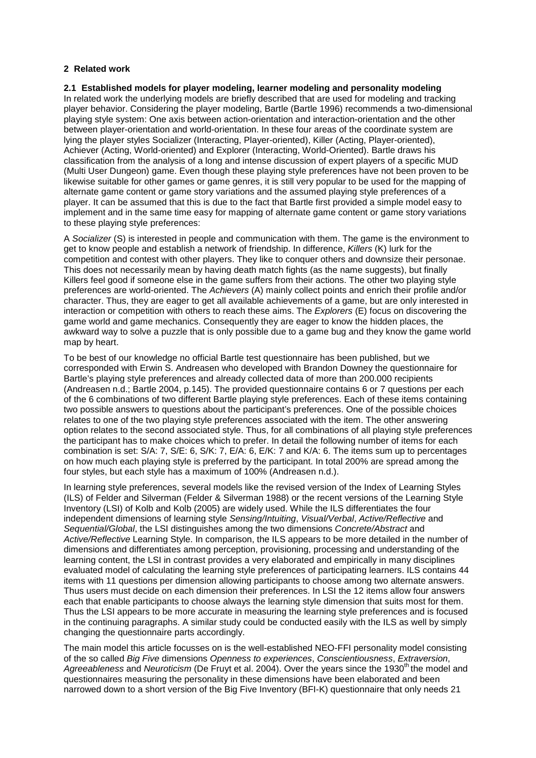#### **2 Related work**

**2.1 Established models for player modeling, learner modeling and personality modeling**  In related work the underlying models are briefly described that are used for modeling and tracking player behavior. Considering the player modeling, Bartle (Bartle 1996) recommends a two-dimensional playing style system: One axis between action-orientation and interaction-orientation and the other between player-orientation and world-orientation. In these four areas of the coordinate system are lying the player styles Socializer (Interacting, Player-oriented), Killer (Acting, Player-oriented), Achiever (Acting, World-oriented) and Explorer (Interacting, World-Oriented). Bartle draws his classification from the analysis of a long and intense discussion of expert players of a specific MUD (Multi User Dungeon) game. Even though these playing style preferences have not been proven to be likewise suitable for other games or game genres, it is still very popular to be used for the mapping of alternate game content or game story variations and the assumed playing style preferences of a player. It can be assumed that this is due to the fact that Bartle first provided a simple model easy to implement and in the same time easy for mapping of alternate game content or game story variations to these playing style preferences:

A Socializer (S) is interested in people and communication with them. The game is the environment to get to know people and establish a network of friendship. In difference, Killers (K) lurk for the competition and contest with other players. They like to conquer others and downsize their personae. This does not necessarily mean by having death match fights (as the name suggests), but finally Killers feel good if someone else in the game suffers from their actions. The other two playing style preferences are world-oriented. The Achievers (A) mainly collect points and enrich their profile and/or character. Thus, they are eager to get all available achievements of a game, but are only interested in interaction or competition with others to reach these aims. The Explorers (E) focus on discovering the game world and game mechanics. Consequently they are eager to know the hidden places, the awkward way to solve a puzzle that is only possible due to a game bug and they know the game world map by heart.

To be best of our knowledge no official Bartle test questionnaire has been published, but we corresponded with Erwin S. Andreasen who developed with Brandon Downey the questionnaire for Bartle's playing style preferences and already collected data of more than 200.000 recipients (Andreasen n.d.; Bartle 2004, p.145). The provided questionnaire contains 6 or 7 questions per each of the 6 combinations of two different Bartle playing style preferences. Each of these items containing two possible answers to questions about the participant's preferences. One of the possible choices relates to one of the two playing style preferences associated with the item. The other answering option relates to the second associated style. Thus, for all combinations of all playing style preferences the participant has to make choices which to prefer. In detail the following number of items for each combination is set: S/A: 7, S/E: 6, S/K: 7, E/A: 6, E/K: 7 and K/A: 6. The items sum up to percentages on how much each playing style is preferred by the participant. In total 200% are spread among the four styles, but each style has a maximum of 100% (Andreasen n.d.).

In learning style preferences, several models like the revised version of the Index of Learning Styles (ILS) of Felder and Silverman (Felder & Silverman 1988) or the recent versions of the Learning Style Inventory (LSI) of Kolb and Kolb (2005) are widely used. While the ILS differentiates the four independent dimensions of learning style Sensing/Intuiting, Visual/Verbal, Active/Reflective and Sequential/Global, the LSI distinguishes among the two dimensions Concrete/Abstract and Active/Reflective Learning Style. In comparison, the ILS appears to be more detailed in the number of dimensions and differentiates among perception, provisioning, processing and understanding of the learning content, the LSI in contrast provides a very elaborated and empirically in many disciplines evaluated model of calculating the learning style preferences of participating learners. ILS contains 44 items with 11 questions per dimension allowing participants to choose among two alternate answers. Thus users must decide on each dimension their preferences. In LSI the 12 items allow four answers each that enable participants to choose always the learning style dimension that suits most for them. Thus the LSI appears to be more accurate in measuring the learning style preferences and is focused in the continuing paragraphs. A similar study could be conducted easily with the ILS as well by simply changing the questionnaire parts accordingly.

The main model this article focusses on is the well-established NEO-FFI personality model consisting of the so called Big Five dimensions Openness to experiences, Conscientiousness, Extraversion, Agreeableness and Neuroticism (De Fruyt et al. 2004). Over the years since the 1930<sup>th</sup> the model and questionnaires measuring the personality in these dimensions have been elaborated and been narrowed down to a short version of the Big Five Inventory (BFI-K) questionnaire that only needs 21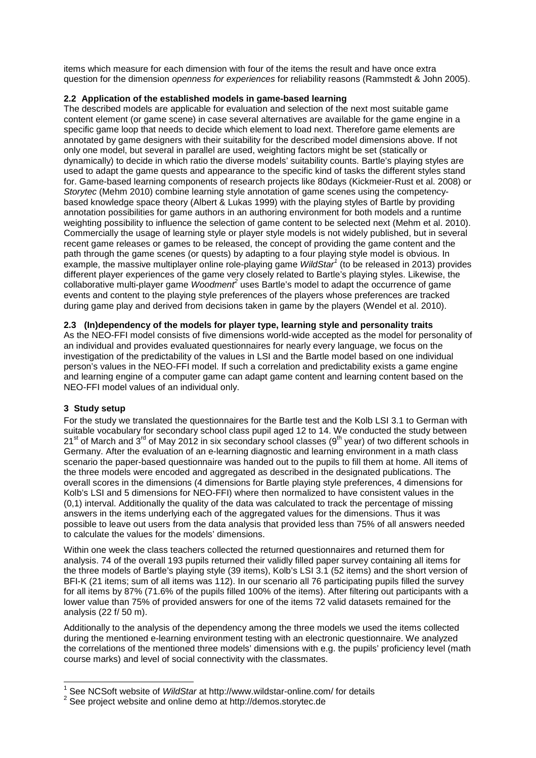items which measure for each dimension with four of the items the result and have once extra question for the dimension openness for experiences for reliability reasons (Rammstedt & John 2005).

#### **2.2 Application of the established models in game-based learning**

The described models are applicable for evaluation and selection of the next most suitable game content element (or game scene) in case several alternatives are available for the game engine in a specific game loop that needs to decide which element to load next. Therefore game elements are annotated by game designers with their suitability for the described model dimensions above. If not only one model, but several in parallel are used, weighting factors might be set (statically or dynamically) to decide in which ratio the diverse models' suitability counts. Bartle's playing styles are used to adapt the game quests and appearance to the specific kind of tasks the different styles stand for. Game-based learning components of research projects like 80days (Kickmeier-Rust et al. 2008) or Storytec (Mehm 2010) combine learning style annotation of game scenes using the competencybased knowledge space theory (Albert & Lukas 1999) with the playing styles of Bartle by providing annotation possibilities for game authors in an authoring environment for both models and a runtime weighting possibility to influence the selection of game content to be selected next (Mehm et al. 2010). Commercially the usage of learning style or player style models is not widely published, but in several recent game releases or games to be released, the concept of providing the game content and the path through the game scenes (or quests) by adapting to a four playing style model is obvious. In example, the massive multiplayer online role-playing game *WildStar<sup>1</sup>* (to be released in 2013) provides different player experiences of the game very closely related to Bartle's playing styles. Likewise, the collaborative multi-player game Woodment<sup>2</sup> uses Bartle's model to adapt the occurrence of game events and content to the playing style preferences of the players whose preferences are tracked during game play and derived from decisions taken in game by the players (Wendel et al. 2010).

## **2.3 (In)dependency of the models for player type, learning style and personality traits**

As the NEO-FFI model consists of five dimensions world-wide accepted as the model for personality of an individual and provides evaluated questionnaires for nearly every language, we focus on the investigation of the predictability of the values in LSI and the Bartle model based on one individual person's values in the NEO-FFI model. If such a correlation and predictability exists a game engine and learning engine of a computer game can adapt game content and learning content based on the NEO-FFI model values of an individual only.

## **3 Study setup**

 $\overline{a}$ 

For the study we translated the questionnaires for the Bartle test and the Kolb LSI 3.1 to German with suitable vocabulary for secondary school class pupil aged 12 to 14. We conducted the study between  $21<sup>st</sup>$  of March and  $3<sup>rd</sup>$  of May 2012 in six secondary school classes (9<sup>th</sup> year) of two different schools in Germany. After the evaluation of an e-learning diagnostic and learning environment in a math class scenario the paper-based questionnaire was handed out to the pupils to fill them at home. All items of the three models were encoded and aggregated as described in the designated publications. The overall scores in the dimensions (4 dimensions for Bartle playing style preferences, 4 dimensions for Kolb's LSI and 5 dimensions for NEO-FFI) where then normalized to have consistent values in the (0,1) interval. Additionally the quality of the data was calculated to track the percentage of missing answers in the items underlying each of the aggregated values for the dimensions. Thus it was possible to leave out users from the data analysis that provided less than 75% of all answers needed to calculate the values for the models' dimensions.

Within one week the class teachers collected the returned questionnaires and returned them for analysis. 74 of the overall 193 pupils returned their validly filled paper survey containing all items for the three models of Bartle's playing style (39 items), Kolb's LSI 3.1 (52 items) and the short version of BFI-K (21 items; sum of all items was 112). In our scenario all 76 participating pupils filled the survey for all items by 87% (71.6% of the pupils filled 100% of the items). After filtering out participants with a lower value than 75% of provided answers for one of the items 72 valid datasets remained for the analysis (22 f/ 50 m).

Additionally to the analysis of the dependency among the three models we used the items collected during the mentioned e-learning environment testing with an electronic questionnaire. We analyzed the correlations of the mentioned three models' dimensions with e.g. the pupils' proficiency level (math course marks) and level of social connectivity with the classmates.

 $1$  See NCSoft website of *WildStar* at http://www.wildstar-online.com/ for details

 $2$  See project website and online demo at http://demos.storytec.de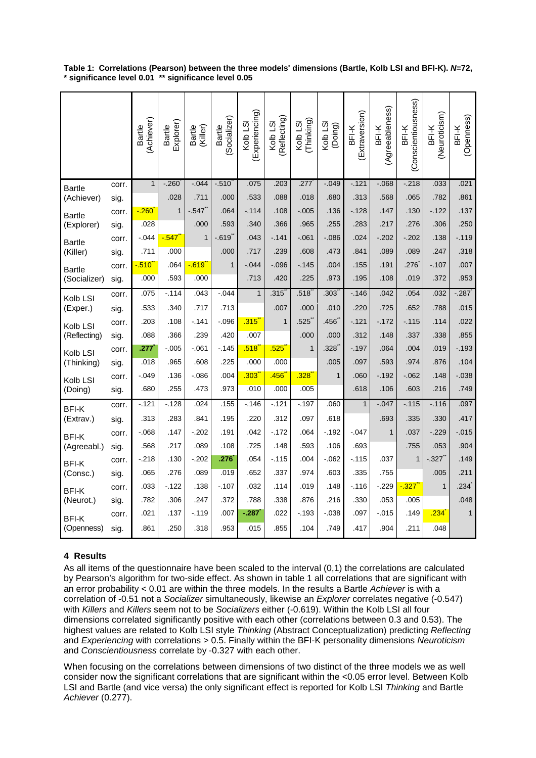#### **Table 1: Correlations (Pearson) between the three models' dimensions (Bartle, Kolb LSI and BFI-K). N=72, \* significance level 0.01 \*\* significance level 0.05**

|                               |       | (Achiever)<br>Bartle                                   | Explorer)<br>Bartle | Bartle<br>(Killer) | (Socializer)<br>Bartle | (Experiencing)<br>Kolb <sub>LSI</sub> | (Reflecting)<br>Kolb LSI | (Thinking)<br>Kolb <sub>LSI</sub> | Kolb <sub>LSI</sub><br>(Doing) | (Extraversion)<br>BFI-K | (Agreeableness)<br>BFI-K | (Conscientiousness)<br>BFI-K | (Neuroticism)<br>BFI-K | (Openness)<br>BFI-K |
|-------------------------------|-------|--------------------------------------------------------|---------------------|--------------------|------------------------|---------------------------------------|--------------------------|-----------------------------------|--------------------------------|-------------------------|--------------------------|------------------------------|------------------------|---------------------|
| <b>Bartle</b><br>(Achiever)   | corr. | $\mathbf{1}$                                           | $-260$              | $-0.044$           | $-510$                 | .075                                  | .203                     | .277                              | $-0.049$                       | $-121$                  | $-068$                   | $-218$                       | .033                   | .021                |
|                               | sig.  |                                                        | .028                | .711               | .000                   | .533                                  | .088                     | .018                              | .680                           | .313                    | .568                     | .065                         | .782                   | .861                |
| <b>Bartle</b><br>(Explorer)   | corr. | $-260$                                                 | $\mathbf{1}$        | $-547$             | .064                   | $-114$                                | .108                     | $-0.005$                          | .136                           | $-.128$                 | .147                     | .130                         | $-122$                 | .137                |
|                               | sig.  | .028                                                   |                     | .000               | .593                   | .340                                  | .366                     | .965                              | .255                           | .283                    | .217                     | .276                         | .306                   | .250                |
| <b>Bartle</b><br>(Killer)     | corr. | $-0.044$                                               | $-547$              | $\mathbf{1}$       | $-0.619"$              | .043                                  | $-141$                   | $-061$                            | $-0.086$                       | .024                    | $-202$                   | $-202$                       | .138                   | $-.119$             |
|                               | sig.  | .711                                                   | .000                |                    | .000                   | .717                                  | .239                     | .608                              | .473                           | .841                    | .089                     | .089                         | .247                   | .318                |
| <b>Bartle</b><br>(Socializer) | corr. | $\overline{\phantom{0}}$ -510 $\overline{\phantom{0}}$ | .064                | $-619$             | $\mathbf{1}$           | $-0.044$                              | $-0.096$                 | $-145$                            | .004                           | .155                    | .191                     | .276                         | $-.107$                | .007                |
|                               | sig.  | .000                                                   | .593                | .000               |                        | .713                                  | .420                     | .225                              | .973                           | .195                    | .108                     | .019                         | .372                   | .953                |
| Kolb LSI<br>(Exper.)          | corr. | .075                                                   | $-114$              | .043               | $-044$                 | $\overline{1}$                        | .315                     | .518                              | .303                           | $-.146$                 | .042                     | .054                         | .032                   | $-.287$             |
|                               | sig.  | .533                                                   | .340                | .717               | .713                   |                                       | .007                     | .000                              | .010                           | .220                    | .725                     | .652                         | .788                   | .015                |
| Kolb LSI<br>(Reflecting)      | corr. | .203                                                   | .108                | $-141$             | $-0.096$               | .315                                  | $\mathbf{1}$             | .525                              | $.456$ *                       | $-.121$                 | $-.172$                  | $-.115$                      | .114                   | .022                |
|                               | sig.  | .088                                                   | .366                | .239               | .420                   | .007                                  |                          | .000                              | .000                           | .312                    | .148                     | .337                         | .338                   | .855                |
| Kolb LSI<br>(Thinking)        | corr. | .277                                                   | $-0.005$            | $-061$             | $-145$                 | .518                                  | .525                     | $\mathbf{1}$                      | .328                           | $-.197$                 | .064                     | .004                         | .019                   | $-0.193$            |
|                               | sig.  | .018                                                   | .965                | .608               | .225                   | .000                                  | .000                     |                                   | .005                           | .097                    | .593                     | .974                         | .876                   | .104                |
| Kolb LSI<br>(Doing)           | corr. | $-0.049$                                               | .136                | $-0.086$           | .004                   | .303                                  | .456                     | .328                              | $\mathbf{1}$                   | .060                    | $-.192$                  | $-062$                       | .148                   | $-0.038$            |
|                               | sig.  | .680                                                   | .255                | .473               | .973                   | .010                                  | .000                     | .005                              |                                | .618                    | .106                     | .603                         | .216                   | .749                |
| <b>BFI-K</b><br>(Extrav.)     | corr. | $-121$                                                 | $-.128$             | .024               | .155                   | $-146$                                | $-121$                   | $-197$                            | .060                           | $\mathbf{1}$            | $-047$                   | $-115$                       | $-116$                 | .097                |
|                               | sig.  | .313                                                   | .283                | .841               | .195                   | .220                                  | .312                     | .097                              | .618                           |                         | .693                     | .335                         | .330                   | .417                |
| <b>BFI-K</b><br>(Agreeabl.)   | corr. | $-068$                                                 | .147                | $-202$             | .191                   | .042                                  | $-172$                   | .064                              | $-192$                         | $-0.047$                | $\mathbf{1}$             | .037                         | $-229$                 | $-0.015$            |
|                               | sig.  | .568                                                   | .217                | .089               | .108                   | .725                                  | .148                     | .593                              | .106                           | .693                    |                          | .755                         | .053                   | .904                |
| <b>BFI-K</b><br>(Consc.)      | corr. | $-218$                                                 | .130                | $-202$             | .276                   | .054                                  | $-115$                   | .004                              | $-062$                         | $-.115$                 | .037                     | $\mathbf{1}$                 | $-.327$ **             | .149                |
|                               | sig.  | .065                                                   | .276                | .089               | .019                   | .652                                  | .337                     | .974                              | .603                           | .335                    | .755                     |                              | .005                   | .211                |
| <b>BFI-K</b><br>(Neurot.)     | corr. | .033                                                   | $-122$              | .138               | $-107$                 | .032                                  | .114                     | .019                              | .148                           | $-.116$                 | $-229$                   | $-327$                       | $\mathbf{1}$           | $.234$ <sup>*</sup> |
|                               | sig.  | .782                                                   | .306                | .247               | .372                   | .788                                  | .338                     | .876                              | .216                           | .330                    | .053                     | .005                         |                        | .048                |
| <b>BFI-K</b><br>(Openness)    | corr. | .021                                                   | .137                | $-.119$            | .007                   | $-287$                                | .022                     | $-193$                            | $-0.038$                       | .097                    | $-0.015$                 | .149                         | .234                   | $\mathbf{1}$        |
|                               | sig.  | .861                                                   | .250                | .318               | .953                   | .015                                  | .855                     | .104                              | .749                           | .417                    | .904                     | .211                         | .048                   |                     |

# **4 Results**

As all items of the questionnaire have been scaled to the interval (0,1) the correlations are calculated by Pearson's algorithm for two-side effect. As shown in table 1 all correlations that are significant with an error probability  $< 0.01$  are within the three models. In the results a Bartle Achiever is with a correlation of -0.51 not a Socializer simultaneously, likewise an Explorer correlates negative (-0.547) with Killers and Killers seem not to be Socializers either (-0.619). Within the Kolb LSI all four dimensions correlated significantly positive with each other (correlations between 0.3 and 0.53). The highest values are related to Kolb LSI style Thinking (Abstract Conceptualization) predicting Reflecting and Experiencing with correlations > 0.5. Finally within the BFI-K personality dimensions Neuroticism and Conscientiousness correlate by -0.327 with each other.

When focusing on the correlations between dimensions of two distinct of the three models we as well consider now the significant correlations that are significant within the <0.05 error level. Between Kolb LSI and Bartle (and vice versa) the only significant effect is reported for Kolb LSI Thinking and Bartle Achiever (0.277).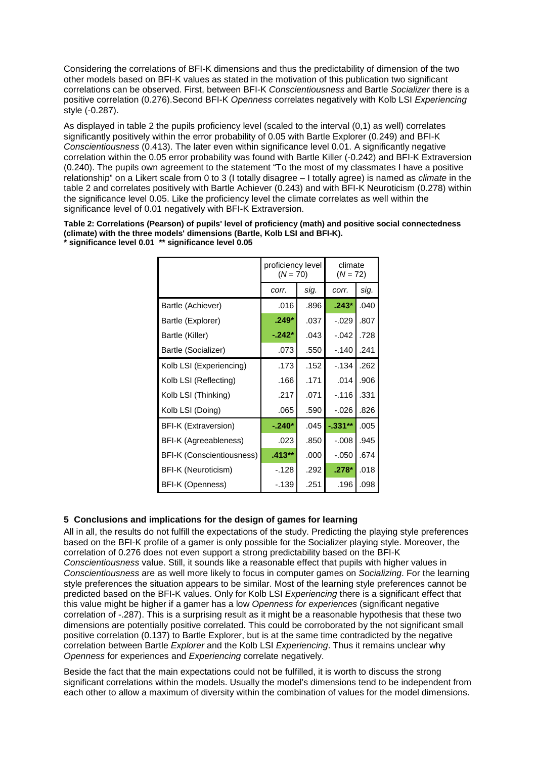Considering the correlations of BFI-K dimensions and thus the predictability of dimension of the two other models based on BFI-K values as stated in the motivation of this publication two significant correlations can be observed. First, between BFI-K Conscientiousness and Bartle Socializer there is a positive correlation (0.276). Second BFI-K Openness correlates negatively with Kolb LSI Experiencing style (-0.287).

As displayed in table 2 the pupils proficiency level (scaled to the interval (0,1) as well) correlates significantly positively within the error probability of 0.05 with Bartle Explorer (0.249) and BFI-K Conscientiousness (0.413). The later even within significance level 0.01. A significantly negative correlation within the 0.05 error probability was found with Bartle Killer (-0.242) and BFI-K Extraversion (0.240). The pupils own agreement to the statement "To the most of my classmates I have a positive relationship" on a Likert scale from 0 to 3 (I totally disagree – I totally agree) is named as climate in the table 2 and correlates positively with Bartle Achiever (0.243) and with BFI-K Neuroticism (0.278) within the significance level 0.05. Like the proficiency level the climate correlates as well within the significance level of 0.01 negatively with BFI-K Extraversion.

**Table 2: Correlations (Pearson) of pupils' level of proficiency (math) and positive social connectedness (climate) with the three models' dimensions (Bartle, Kolb LSI and BFI-K). \* significance level 0.01 \*\* significance level 0.05** 

|                                  | proficiency level<br>$(N = 70)$ |      | climate<br>$(N = 72)$ |      |  |
|----------------------------------|---------------------------------|------|-----------------------|------|--|
|                                  | corr.                           | sig. | corr.                 | sig. |  |
| Bartle (Achiever)                | .016                            | .896 | $.243*$               | .040 |  |
| Bartle (Explorer)                | $.249*$                         | .037 | $-0.029$              | .807 |  |
| Bartle (Killer)                  | $-242*$                         | .043 | $-.042$               | .728 |  |
| Bartle (Socializer)              | .073                            | .550 | $-.140$               | .241 |  |
| Kolb LSI (Experiencing)          | .173                            | .152 | $-134$                | .262 |  |
| Kolb LSI (Reflecting)            | .166                            | .171 | .014                  | .906 |  |
| Kolb LSI (Thinking)              | .217                            | .071 | $-.116$               | .331 |  |
| Kolb LSI (Doing)                 | .065                            | .590 | $-.026$               | .826 |  |
| <b>BFI-K (Extraversion)</b>      | $-.240*$                        | .045 | $-0.331**$            | .005 |  |
| BFI-K (Agreeableness)            | .023                            | .850 | $-0.008$              | .945 |  |
| <b>BFI-K (Conscientiousness)</b> | $.413**$                        | .000 | $-.050$               | .674 |  |
| BFI-K (Neuroticism)              | $-128$                          | .292 | $.278*$               | .018 |  |
| BFI-K (Openness)                 | $-139$                          | .251 | .196                  | .098 |  |

#### **5 Conclusions and implications for the design of games for learning**

All in all, the results do not fulfill the expectations of the study. Predicting the playing style preferences based on the BFI-K profile of a gamer is only possible for the Socializer playing style. Moreover, the correlation of 0.276 does not even support a strong predictability based on the BFI-K Conscientiousness value. Still, it sounds like a reasonable effect that pupils with higher values in Conscientiousness are as well more likely to focus in computer games on Socializing. For the learning style preferences the situation appears to be similar. Most of the learning style preferences cannot be predicted based on the BFI-K values. Only for Kolb LSI *Experiencing* there is a significant effect that this value might be higher if a gamer has a low Openness for experiences (significant negative correlation of -.287). This is a surprising result as it might be a reasonable hypothesis that these two dimensions are potentially positive correlated. This could be corroborated by the not significant small positive correlation (0.137) to Bartle Explorer, but is at the same time contradicted by the negative correlation between Bartle Explorer and the Kolb LSI Experiencing. Thus it remains unclear why Openness for experiences and *Experiencing* correlate negatively.

Beside the fact that the main expectations could not be fulfilled, it is worth to discuss the strong significant correlations within the models. Usually the model's dimensions tend to be independent from each other to allow a maximum of diversity within the combination of values for the model dimensions.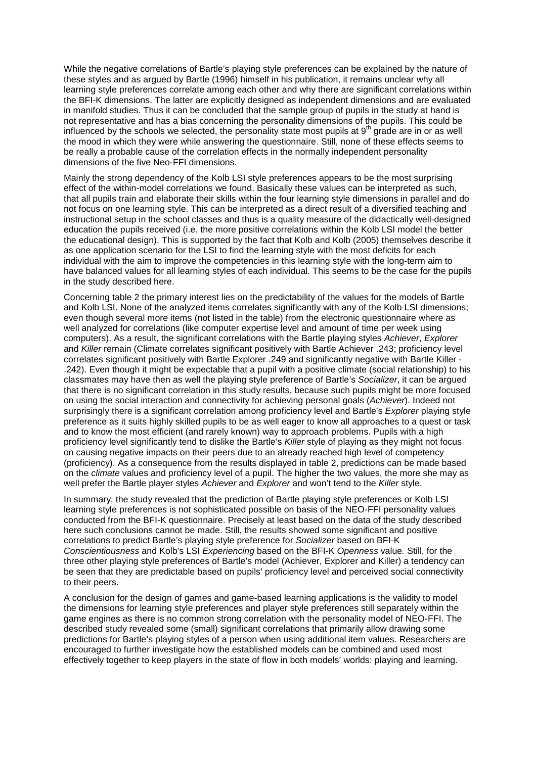While the negative correlations of Bartle's playing style preferences can be explained by the nature of these styles and as argued by Bartle (1996) himself in his publication, it remains unclear why all learning style preferences correlate among each other and why there are significant correlations within the BFI-K dimensions. The latter are explicitly designed as independent dimensions and are evaluated in manifold studies. Thus it can be concluded that the sample group of pupils in the study at hand is not representative and has a bias concerning the personality dimensions of the pupils. This could be influenced by the schools we selected, the personality state most pupils at 9<sup>th</sup> grade are in or as well the mood in which they were while answering the questionnaire. Still, none of these effects seems to be really a probable cause of the correlation effects in the normally independent personality dimensions of the five Neo-FFI dimensions.

Mainly the strong dependency of the Kolb LSI style preferences appears to be the most surprising effect of the within-model correlations we found. Basically these values can be interpreted as such, that all pupils train and elaborate their skills within the four learning style dimensions in parallel and do not focus on one learning style. This can be interpreted as a direct result of a diversified teaching and instructional setup in the school classes and thus is a quality measure of the didactically well-designed education the pupils received (i.e. the more positive correlations within the Kolb LSI model the better the educational design). This is supported by the fact that Kolb and Kolb (2005) themselves describe it as one application scenario for the LSI to find the learning style with the most deficits for each individual with the aim to improve the competencies in this learning style with the long-term aim to have balanced values for all learning styles of each individual. This seems to be the case for the pupils in the study described here.

Concerning table 2 the primary interest lies on the predictability of the values for the models of Bartle and Kolb LSI. None of the analyzed items correlates significantly with any of the Kolb LSI dimensions; even though several more items (not listed in the table) from the electronic questionnaire where as well analyzed for correlations (like computer expertise level and amount of time per week using computers). As a result, the significant correlations with the Bartle playing styles Achiever, Explorer and Killer remain (Climate correlates significant positively with Bartle Achiever .243; proficiency level correlates significant positively with Bartle Explorer .249 and significantly negative with Bartle Killer - .242). Even though it might be expectable that a pupil with a positive climate (social relationship) to his classmates may have then as well the playing style preference of Bartle's Socializer, it can be argued that there is no significant correlation in this study results, because such pupils might be more focused on using the social interaction and connectivity for achieving personal goals (Achiever). Indeed not surprisingly there is a significant correlation among proficiency level and Bartle's *Explorer* playing style preference as it suits highly skilled pupils to be as well eager to know all approaches to a quest or task and to know the most efficient (and rarely known) way to approach problems. Pupils with a high proficiency level significantly tend to dislike the Bartle's Killer style of playing as they might not focus on causing negative impacts on their peers due to an already reached high level of competency (proficiency). As a consequence from the results displayed in table 2, predictions can be made based on the *climate* values and proficiency level of a pupil. The higher the two values, the more she may as well prefer the Bartle player styles Achiever and Explorer and won't tend to the Killer style.

In summary, the study revealed that the prediction of Bartle playing style preferences or Kolb LSI learning style preferences is not sophisticated possible on basis of the NEO-FFI personality values conducted from the BFI-K questionnaire. Precisely at least based on the data of the study described here such conclusions cannot be made. Still, the results showed some significant and positive correlations to predict Bartle's playing style preference for Socializer based on BFI-K Conscientiousness and Kolb's LSI Experiencing based on the BFI-K Openness value. Still, for the three other playing style preferences of Bartle's model (Achiever, Explorer and Killer) a tendency can be seen that they are predictable based on pupils' proficiency level and perceived social connectivity to their peers.

A conclusion for the design of games and game-based learning applications is the validity to model the dimensions for learning style preferences and player style preferences still separately within the game engines as there is no common strong correlation with the personality model of NEO-FFI. The described study revealed some (small) significant correlations that primarily allow drawing some predictions for Bartle's playing styles of a person when using additional item values. Researchers are encouraged to further investigate how the established models can be combined and used most effectively together to keep players in the state of flow in both models' worlds: playing and learning.